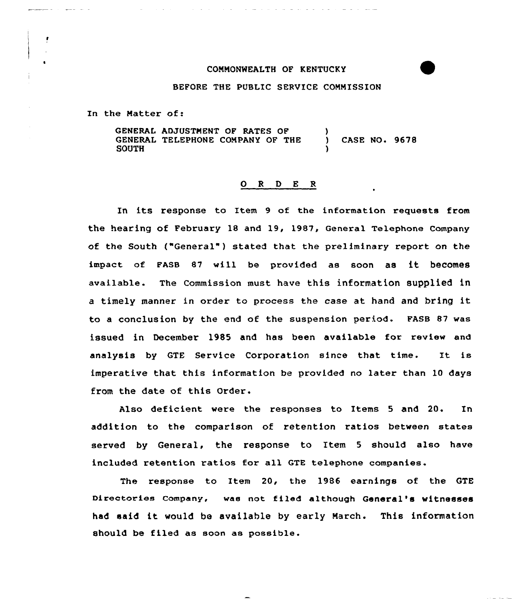## COMMONWEALTH OF KENTUCKY

## BEFORE THE PUBLIC SERUICE COMMISSION

In the Matter of:

GENERAL ADJUSTMENT OF RATES OF GENERAL TELEPHONE COMPANY OF THE SOUTH ) CASE NO. 9678 )

## ORDER

In its response to Item 9 of the information requests from the hearing of February 18 and 19, 1987, General Telephone Company of the South ("General" ) stated that the preliminary report on the impact of FAsB <sup>87</sup> will be provided as soon as it becomes available. The Commission must have this information supplied in <sup>a</sup> timely manner in order to process the case at hand and bring it to a conclusion by the end of the suspension period. FASB 87 was issued in December 1985 and has been available for review and analysis by GTE Service Corporation since that time. It is imperative that, this information be provided no later than 10 days from the date of this Order.

Also deficient were the responses to Items 5 and 20. In addition to the comparison of retention ratios between states served by General, the response to Item <sup>5</sup> should also have included retention ratios for all GTE telephone companies.

The response to Item 20, the 1986 earnings of the GTE Directories Company, was not filed although General's witnesses had said it would be available by early March. This information should be filed as soon as possib1e.